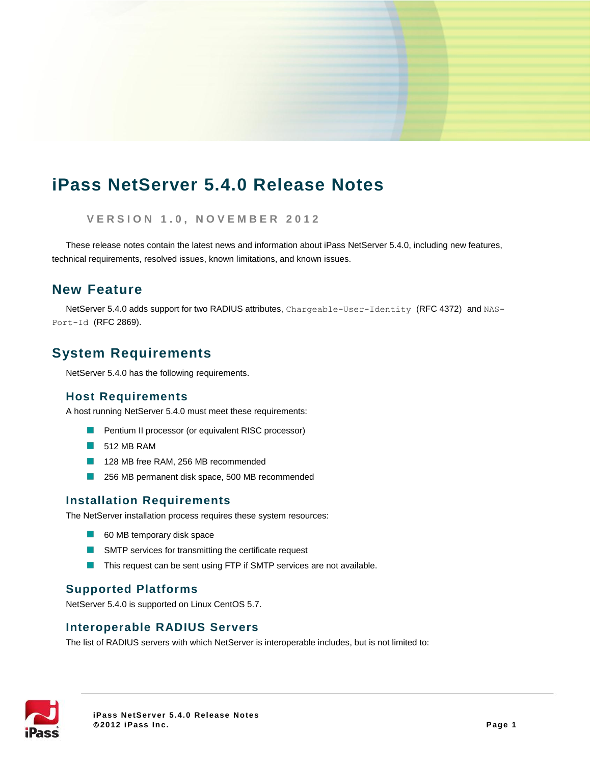# **iPass NetServer 5.4.0 Release Notes**

**V E R S I O N 1 . 0 , N O V E M B E R 2 0 1 2**

These release notes contain the latest news and information about iPass NetServer 5.4.0, including new features, technical requirements, resolved issues, known limitations, and known issues.

## **New Feature**

NetServer 5.4.0 adds support for two RADIUS attributes, Chargeable-User-Identity (RFC 4372) and NAS-Port-Id (RFC 2869).

## **System Requirements**

NetServer 5.4.0 has the following requirements.

#### **Host Requirements**

A host running NetServer 5.4.0 must meet these requirements:

- **Pentium II processor (or equivalent RISC processor)**
- $\Box$  512 MB RAM
- 128 MB free RAM, 256 MB recommended
- 256 MB permanent disk space, 500 MB recommended

### **Installation Requirements**

The NetServer installation process requires these system resources:

- 60 MB temporary disk space
- **SMTP** services for transmitting the certificate request
- **This request can be sent using FTP if SMTP services are not available.**

#### **Supported Platforms**

NetServer 5.4.0 is supported on Linux CentOS 5.7.

### **Interoperable RADIUS Servers**

The list of RADIUS servers with which NetServer is interoperable includes, but is not limited to:

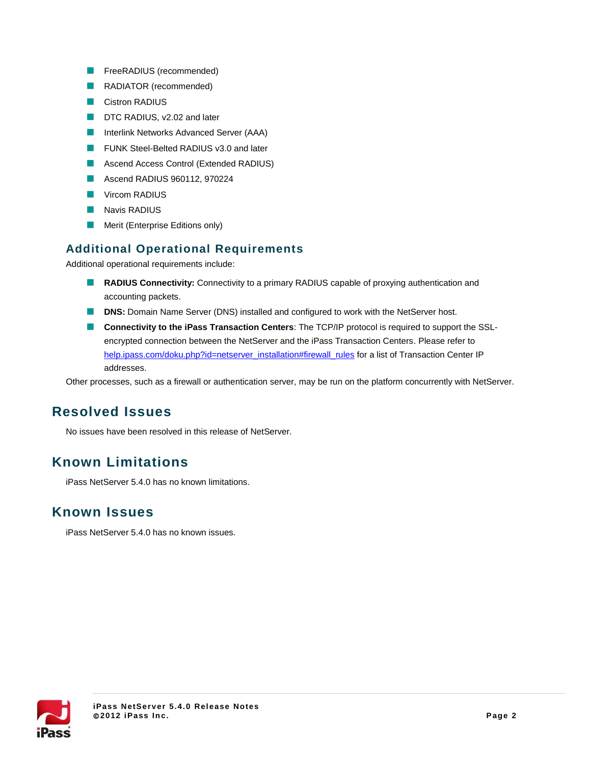- **FreeRADIUS** (recommended)
- **RADIATOR** (recommended)
- **Cistron RADIUS**
- DTC RADIUS, v2.02 and later
- **Interlink Networks Advanced Server (AAA)**
- **FUNK Steel-Belted RADIUS v3.0 and later**
- **Ascend Access Control (Extended RADIUS)**
- **Ascend RADIUS 960112, 970224**
- **Vircom RADIUS**
- **Navis RADIUS**
- Merit (Enterprise Editions only)  $\sim$

### **Additional Operational Requirements**

Additional operational requirements include:

- **RADIUS Connectivity:** Connectivity to a primary RADIUS capable of proxying authentication and accounting packets.
- **DINS:** Domain Name Server (DNS) installed and configured to work with the NetServer host.
- **Connectivity to the iPass Transaction Centers**: The TCP/IP protocol is required to support the SSLencrypted connection between the NetServer and the iPass Transaction Centers. Please refer to [help.ipass.com/doku.php?id=netserver\\_installation#firewall\\_rules](help-staging.ipass.com/doku.php?id=netserver_installation#firewall_rules) for a list of Transaction Center IP addresses.

Other processes, such as a firewall or authentication server, may be run on the platform concurrently with NetServer.

## **Resolved Issues**

No issues have been resolved in this release of NetServer.

## **Known Limitations**

iPass NetServer 5.4.0 has no known limitations.

### **Known Issues**

iPass NetServer 5.4.0 has no known issues.